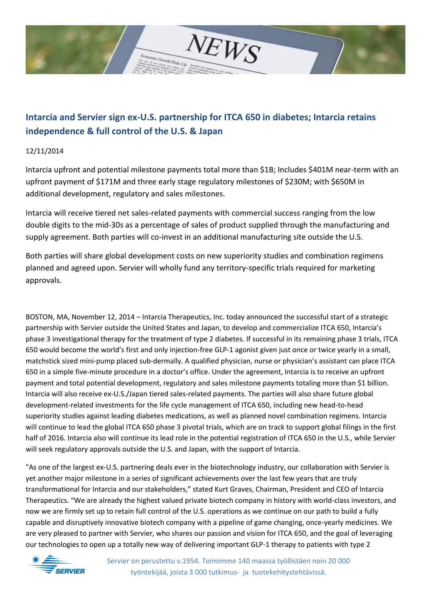

# **Intarcia and Servier sign ex-U.S. partnership for ITCA 650 in diabetes; Intarcia retains independence & full control of the U.S. & Japan**

## 12/11/2014

Intarcia upfront and potential milestone payments total more than \$1B; Includes \$401M near-term with an upfront payment of \$171M and three early stage regulatory milestones of \$230M; with \$650M in additional development, regulatory and sales milestones.

Intarcia will receive tiered net sales-related payments with commercial success ranging from the low double digits to the mid-30s as a percentage of sales of product supplied through the manufacturing and supply agreement. Both parties will co-invest in an additional manufacturing site outside the U.S.

Both parties will share global development costs on new superiority studies and combination regimens planned and agreed upon. Servier will wholly fund any territory-specific trials required for marketing approvals.

BOSTON, MA, November 12, 2014 – Intarcia Therapeutics, Inc. today announced the successful start of a strategic partnership with Servier outside the United States and Japan, to develop and commercialize ITCA 650, Intarcia's phase 3 investigational therapy for the treatment of type 2 diabetes. If successful in its remaining phase 3 trials, ITCA 650 would become the world's first and only injection-free GLP-1 agonist given just once or twice yearly in a small, matchstick sized mini-pump placed sub-dermally. A qualified physician, nurse or physician's assistant can place ITCA 650 in a simple five-minute procedure in a doctor's office. Under the agreement, Intarcia is to receive an upfront payment and total potential development, regulatory and sales milestone payments totaling more than \$1 billion. Intarcia will also receive ex-U.S./Japan tiered sales-related payments. The parties will also share future global development-related investments for the life cycle management of ITCA 650, including new head-to-head superiority studies against leading diabetes medications, as well as planned novel combination regimens. Intarcia will continue to lead the global ITCA 650 phase 3 pivotal trials, which are on track to support global filings in the first half of 2016. Intarcia also will continue its lead role in the potential registration of ITCA 650 in the U.S., while Servier will seek regulatory approvals outside the U.S. and Japan, with the support of Intarcia.

"As one of the largest ex-U.S. partnering deals ever in the biotechnology industry, our collaboration with Servier is yet another major milestone in a series of significant achievements over the last few years that are truly transformational for Intarcia and our stakeholders," stated Kurt Graves, Chairman, President and CEO of Intarcia Therapeutics. "We are already the highest valued private biotech company in history with world-class investors, and now we are firmly set up to retain full control of the U.S. operations as we continue on our path to build a fully capable and disruptively innovative biotech company with a pipeline of game changing, once-yearly medicines. We are very pleased to partner with Servier, who shares our passion and vision for ITCA 650, and the goal of leveraging our technologies to open up a totally new way of delivering important GLP-1 therapy to patients with type 2

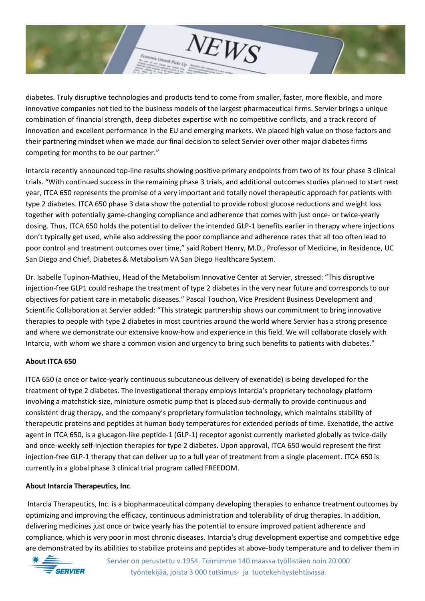

diabetes. Truly disruptive technologies and products tend to come from smaller, faster, more flexible, and more innovative companies not tied to the business models of the largest pharmaceutical firms. Servier brings a unique combination of financial strength, deep diabetes expertise with no competitive conflicts, and a track record of innovation and excellent performance in the EU and emerging markets. We placed high value on those factors and their partnering mindset when we made our final decision to select Servier over other major diabetes firms competing for months to be our partner."

Intarcia recently announced top-line results showing positive primary endpoints from two of its four phase 3 clinical trials. "With continued success in the remaining phase 3 trials, and additional outcomes studies planned to start next year, ITCA 650 represents the promise of a very important and totally novel therapeutic approach for patients with type 2 diabetes. ITCA 650 phase 3 data show the potential to provide robust glucose reductions and weight loss together with potentially game-changing compliance and adherence that comes with just once- or twice-yearly dosing. Thus, ITCA 650 holds the potential to deliver the intended GLP-1 benefits earlier in therapy where injections don't typically get used, while also addressing the poor compliance and adherence rates that all too often lead to poor control and treatment outcomes over time," said Robert Henry, M.D., Professor of Medicine, in Residence, UC San Diego and Chief, Diabetes & Metabolism VA San Diego Healthcare System.

Dr. Isabelle Tupinon-Mathieu, Head of the Metabolism Innovative Center at Servier, stressed: "This disruptive injection-free GLP1 could reshape the treatment of type 2 diabetes in the very near future and corresponds to our objectives for patient care in metabolic diseases." Pascal Touchon, Vice President Business Development and Scientific Collaboration at Servier added: "This strategic partnership shows our commitment to bring innovative therapies to people with type 2 diabetes in most countries around the world where Servier has a strong presence and where we demonstrate our extensive know-how and experience in this field. We will collaborate closely with Intarcia, with whom we share a common vision and urgency to bring such benefits to patients with diabetes."

### **About ITCA 650**

ITCA 650 (a once or twice-yearly continuous subcutaneous delivery of exenatide) is being developed for the treatment of type 2 diabetes. The investigational therapy employs Intarcia's proprietary technology platform involving a matchstick-size, miniature osmotic pump that is placed sub-dermally to provide continuous and consistent drug therapy, and the company's proprietary formulation technology, which maintains stability of therapeutic proteins and peptides at human body temperatures for extended periods of time. Exenatide, the active agent in ITCA 650, is a glucagon-like peptide-1 (GLP-1) receptor agonist currently marketed globally as twice-daily and once-weekly self-injection therapies for type 2 diabetes. Upon approval, ITCA 650 would represent the first injection-free GLP-1 therapy that can deliver up to a full year of treatment from a single placement. ITCA 650 is currently in a global phase 3 clinical trial program called FREEDOM.

#### **About Intarcia Therapeutics, Inc**.

Intarcia Therapeutics, Inc. is a biopharmaceutical company developing therapies to enhance treatment outcomes by optimizing and improving the efficacy, continuous administration and tolerability of drug therapies. In addition, delivering medicines just once or twice yearly has the potential to ensure improved patient adherence and compliance, which is very poor in most chronic diseases. Intarcia's drug development expertise and competitive edge are demonstrated by its abilities to stabilize proteins and peptides at above-body temperature and to deliver them in



Servier on perustettu v.1954. Toimimme 140 maassa työllistäen noin 20 000 työntekijää, joista 3 000 tutkimus- ja tuotekehitystehtävissä.